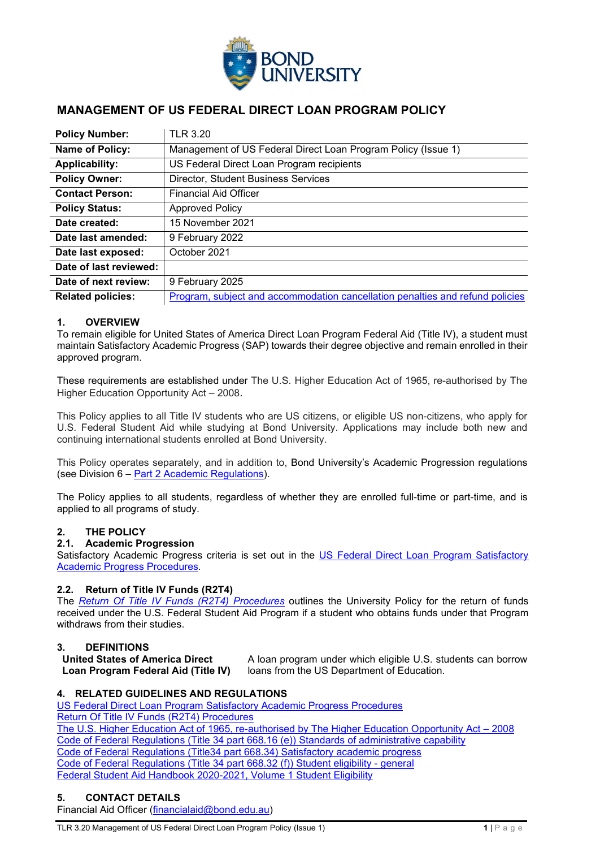

# **MANAGEMENT OF US FEDERAL DIRECT LOAN PROGRAM POLICY**

| <b>Policy Number:</b>    | <b>TLR 3.20</b>                                                               |
|--------------------------|-------------------------------------------------------------------------------|
| Name of Policy:          | Management of US Federal Direct Loan Program Policy (Issue 1)                 |
| <b>Applicability:</b>    | US Federal Direct Loan Program recipients                                     |
| <b>Policy Owner:</b>     | <b>Director, Student Business Services</b>                                    |
| <b>Contact Person:</b>   | <b>Financial Aid Officer</b>                                                  |
| <b>Policy Status:</b>    | <b>Approved Policy</b>                                                        |
| Date created:            | 15 November 2021                                                              |
| Date last amended:       | 9 February 2022                                                               |
| Date last exposed:       | October 2021                                                                  |
| Date of last reviewed:   |                                                                               |
| Date of next review:     | 9 February 2025                                                               |
| <b>Related policies:</b> | Program, subject and accommodation cancellation penalties and refund policies |

## **1. OVERVIEW**

To remain eligible for United States of America Direct Loan Program Federal Aid (Title IV), a student must maintain Satisfactory Academic Progress (SAP) towards their degree objective and remain enrolled in their approved program.

These requirements are established under The U.S. Higher Education Act of 1965, re-authorised by The Higher Education Opportunity Act – 2008.

This Policy applies to all Title IV students who are US citizens, or eligible US non-citizens, who apply for U.S. Federal Student Aid while studying at Bond University. Applications may include both new and continuing international students enrolled at Bond University.

This Policy operates separately, and in addition to, Bond University's Academic Progression regulations (see Division 6 – [Part 2 Academic Regulations\)](https://bond.edu.au/files/675/Part2AcadRegs.pdf).

The Policy applies to all students, regardless of whether they are enrolled full-time or part-time, and is applied to all programs of study.

## **2. THE POLICY**

# **2.1. Academic Progression**

Satisfactory Academic Progress criteria is set out in the [US Federal Direct Loan Program Satisfactory](#page-1-0)  [Academic Progress Procedures](#page-1-0)*.*

#### **2.2. Return of Title IV Funds (R2T4)**

The *[Return Of Title IV Funds \(R2T4\) Procedures](#page-4-0)* outlines the University Policy for the return of funds received under the U.S. Federal Student Aid Program if a student who obtains funds under that Program withdraws from their studies.

#### **3. DEFINITIONS**

**United States of America Direct Loan Program Federal Aid (Title IV)**

A loan program under which eligible U.S. students can borrow loans from the US Department of Education.

#### **4. RELATED GUIDELINES AND REGULATIONS**

[US Federal Direct Loan Program Satisfactory Academic Progress Procedures](#page-1-0) [Return Of Title IV Funds \(R2T4\) Procedures](#page-4-0) [The U.S. Higher Education Act of 1965, re-authorised by The Higher Education Opportunity Act –](https://www.govinfo.gov/content/pkg/PLAW-110publ315/html/PLAW-110publ315.htm) 2008 [Code of Federal Regulations \(Title 34 part 668.16 \(e\)\)](https://www.customsmobile.com/regulations/expand/title34_chapterVI_part668_subpartB_section668.16#title34_chapterVI_part668_subpartB_section668.16) Standards of administrative capability [Code of Federal Regulations \(Title34 part 668.34\)](https://www.customsmobile.com/regulations/expand/title34_chapterVI_part668_subpartC_section668.32#title34_chapterVI_part668_subpartC_section668.34) Satisfactory academic progress [Code of Federal Regulations \(Title 34 part 668.32 \(f\)\)](https://www.customsmobile.com/regulations/expand/title34_chapterVI_part668_subpartC_section668.32#title34_chapterVI_part668_subpartC_section668.32) Student eligibility - general [Federal Student Aid Handbook 2020-2021, Volume 1 Student Eligibility](https://fsapartners.ed.gov/sites/default/files/2021-03/2021FSAHbkVol1Master.pdf)

# **5. CONTACT DETAILS**

Financial Aid Officer [\(financialaid@bond.edu.au\)](mailto:financialaid@bond.edu.au)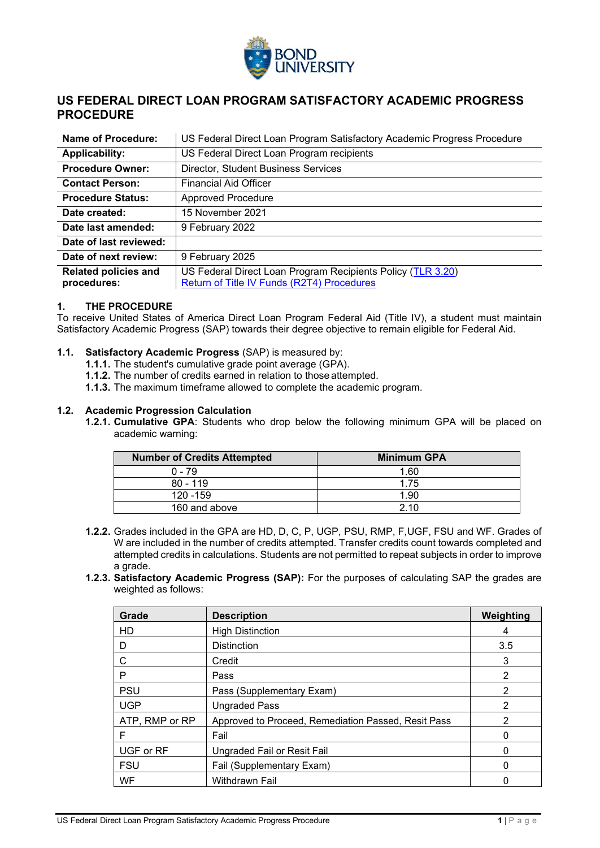<span id="page-1-1"></span><span id="page-1-0"></span>

# **US FEDERAL DIRECT LOAN PROGRAM SATISFACTORY ACADEMIC PROGRESS PROCEDURE**

| <b>Name of Procedure:</b>                  | US Federal Direct Loan Program Satisfactory Academic Progress Procedure                                   |
|--------------------------------------------|-----------------------------------------------------------------------------------------------------------|
| <b>Applicability:</b>                      | US Federal Direct Loan Program recipients                                                                 |
| <b>Procedure Owner:</b>                    | <b>Director, Student Business Services</b>                                                                |
| <b>Contact Person:</b>                     | <b>Financial Aid Officer</b>                                                                              |
| <b>Procedure Status:</b>                   | Approved Procedure                                                                                        |
| Date created:                              | 15 November 2021                                                                                          |
| Date last amended:                         | 9 February 2022                                                                                           |
| Date of last reviewed:                     |                                                                                                           |
| Date of next review:                       | 9 February 2025                                                                                           |
| <b>Related policies and</b><br>procedures: | US Federal Direct Loan Program Recipients Policy (TLR 3.20)<br>Return of Title IV Funds (R2T4) Procedures |

## **1. THE PROCEDURE**

To receive United States of America Direct Loan Program Federal Aid (Title IV), a student must maintain Satisfactory Academic Progress (SAP) towards their degree objective to remain eligible for Federal Aid.

#### **1.1. Satisfactory Academic Progress** (SAP) is measured by:

- **1.1.1.** The student's cumulative grade point average (GPA).
- **1.1.2.** The number of credits earned in relation to those attempted.
- **1.1.3.** The maximum timeframe allowed to complete the academic program.

#### **1.2. Academic Progression Calculation**

**1.2.1. Cumulative GPA**: Students who drop below the following minimum GPA will be placed on academic warning:

| <b>Number of Credits Attempted</b> | <b>Minimum GPA</b> |
|------------------------------------|--------------------|
| $0 - 79$                           | 1.60               |
| $80 - 119$                         | 1.75               |
| 120 - 159                          | 1.90               |
| 160 and above                      | 210                |

- **1.2.2.** Grades included in the GPA are HD, D, C, P, UGP, PSU, RMP, F,UGF, FSU and WF. Grades of W are included in the number of credits attempted. Transfer credits count towards completed and attempted credits in calculations. Students are not permitted to repeat subjects in order to improve a grade.
- **1.2.3. Satisfactory Academic Progress (SAP):** For the purposes of calculating SAP the grades are weighted as follows:

| Grade          | <b>Description</b>                                  | Weighting |
|----------------|-----------------------------------------------------|-----------|
| HD             | <b>High Distinction</b>                             |           |
| D              | <b>Distinction</b>                                  | 3.5       |
| С              | Credit                                              | 3         |
| P              | Pass                                                | 2         |
| <b>PSU</b>     | Pass (Supplementary Exam)                           | 2         |
| <b>UGP</b>     | <b>Ungraded Pass</b>                                | 2         |
| ATP, RMP or RP | Approved to Proceed, Remediation Passed, Resit Pass | 2         |
| F              | Fail                                                | 0         |
| UGF or RF      | Ungraded Fail or Resit Fail                         |           |
| <b>FSU</b>     | Fail (Supplementary Exam)                           | 0         |
| WF             | Withdrawn Fail                                      |           |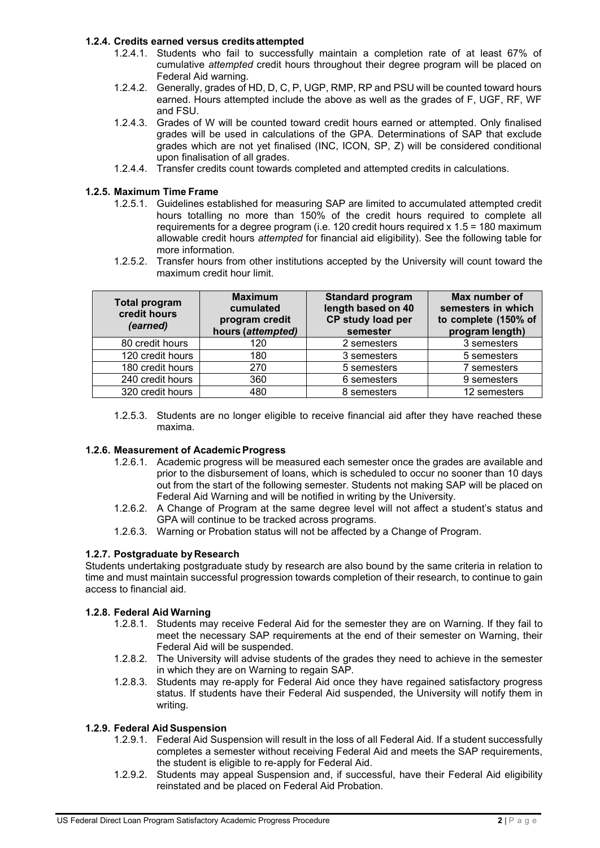## **1.2.4. Credits earned versus creditsattempted**

- 1.2.4.1. Students who fail to successfully maintain a completion rate of at least 67% of cumulative *attempted* credit hours throughout their degree program will be placed on Federal Aid warning.
- 1.2.4.2. Generally, grades of HD, D, C, P, UGP, RMP, RP and PSU will be counted toward hours earned. Hours attempted include the above as well as the grades of F, UGF, RF, WF and FSU.
- 1.2.4.3. Grades of W will be counted toward credit hours earned or attempted. Only finalised grades will be used in calculations of the GPA. Determinations of SAP that exclude grades which are not yet finalised (INC, ICON, SP, Z) will be considered conditional upon finalisation of all grades.
- 1.2.4.4. Transfer credits count towards completed and attempted credits in calculations.

## **1.2.5. Maximum Time Frame**

- 1.2.5.1. Guidelines established for measuring SAP are limited to accumulated attempted credit hours totalling no more than 150% of the credit hours required to complete all requirements for a degree program (i.e. 120 credit hours required x 1.5 = 180 maximum allowable credit hours *attempted* for financial aid eligibility). See the following table for more information.
- 1.2.5.2. Transfer hours from other institutions accepted by the University will count toward the maximum credit hour limit.

| <b>Total program</b><br>credit hours<br>(earned) | <b>Maximum</b><br>cumulated<br>program credit<br>hours (attempted) | <b>Standard program</b><br>length based on 40<br>CP study load per<br>semester | Max number of<br>semesters in which<br>to complete (150% of<br>program length) |
|--------------------------------------------------|--------------------------------------------------------------------|--------------------------------------------------------------------------------|--------------------------------------------------------------------------------|
| 80 credit hours                                  | 120                                                                | 2 semesters                                                                    | 3 semesters                                                                    |
| 120 credit hours                                 | 180                                                                | 3 semesters                                                                    | 5 semesters                                                                    |
| 180 credit hours                                 | 270                                                                | 5 semesters                                                                    | 7 semesters                                                                    |
| 240 credit hours                                 | 360                                                                | 6 semesters                                                                    | 9 semesters                                                                    |
| 320 credit hours                                 | 480                                                                | 8 semesters                                                                    | 12 semesters                                                                   |

1.2.5.3. Students are no longer eligible to receive financial aid after they have reached these maxima.

## **1.2.6. Measurement of AcademicProgress**

- 1.2.6.1. Academic progress will be measured each semester once the grades are available and prior to the disbursement of loans, which is scheduled to occur no sooner than 10 days out from the start of the following semester. Students not making SAP will be placed on Federal Aid Warning and will be notified in writing by the University.
- 1.2.6.2. A Change of Program at the same degree level will not affect a student's status and GPA will continue to be tracked across programs.
- 1.2.6.3. Warning or Probation status will not be affected by a Change of Program.

## **1.2.7. Postgraduate by Research**

Students undertaking postgraduate study by research are also bound by the same criteria in relation to time and must maintain successful progression towards completion of their research, to continue to gain access to financial aid.

## **1.2.8. Federal Aid Warning**

- 1.2.8.1. Students may receive Federal Aid for the semester they are on Warning. If they fail to meet the necessary SAP requirements at the end of their semester on Warning, their Federal Aid will be suspended.
- 1.2.8.2. The University will advise students of the grades they need to achieve in the semester in which they are on Warning to regain SAP.
- 1.2.8.3. Students may re-apply for Federal Aid once they have regained satisfactory progress status. If students have their Federal Aid suspended, the University will notify them in writing.

#### **1.2.9. Federal Aid Suspension**

- 1.2.9.1. Federal Aid Suspension will result in the loss of all Federal Aid. If a student successfully completes a semester without receiving Federal Aid and meets the SAP requirements, the student is eligible to re-apply for Federal Aid.
- 1.2.9.2. Students may appeal Suspension and, if successful, have their Federal Aid eligibility reinstated and be placed on Federal Aid Probation.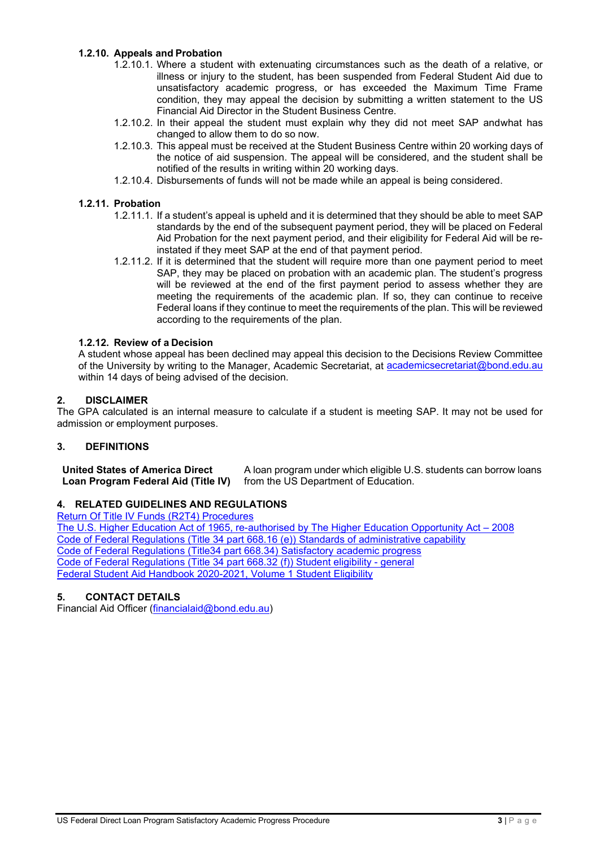# **1.2.10. Appeals and Probation**

- 1.2.10.1. Where a student with extenuating circumstances such as the death of a relative, or illness or injury to the student, has been suspended from Federal Student Aid due to unsatisfactory academic progress, or has exceeded the Maximum Time Frame condition, they may appeal the decision by submitting a written statement to the US Financial Aid Director in the Student Business Centre.
- 1.2.10.2. In their appeal the student must explain why they did not meet SAP andwhat has changed to allow them to do so now.
- 1.2.10.3. This appeal must be received at the Student Business Centre within 20 working days of the notice of aid suspension. The appeal will be considered, and the student shall be notified of the results in writing within 20 working days.
- 1.2.10.4. Disbursements of funds will not be made while an appeal is being considered.

## **1.2.11. Probation**

- 1.2.11.1. If a student's appeal is upheld and it is determined that they should be able to meet SAP standards by the end of the subsequent payment period, they will be placed on Federal Aid Probation for the next payment period, and their eligibility for Federal Aid will be reinstated if they meet SAP at the end of that payment period.
- 1.2.11.2. If it is determined that the student will require more than one payment period to meet SAP, they may be placed on probation with an academic plan. The student's progress will be reviewed at the end of the first payment period to assess whether they are meeting the requirements of the academic plan. If so, they can continue to receive Federal loans if they continue to meet the requirements of the plan. This will be reviewed according to the requirements of the plan.

## **1.2.12. Review of a Decision**

A student whose appeal has been declined may appeal this decision to the Decisions Review Committee of the University by writing to the Manager, Academic Secretariat, at [academicsecretariat@bond.edu.au](mailto:academicsecretariat@bond.edu.au) within 14 days of being advised of the decision.

## **2. DISCLAIMER**

The GPA calculated is an internal measure to calculate if a student is meeting SAP. It may not be used for admission or employment purposes.

## **3. DEFINITIONS**

**United States of America Direct Loan Program Federal Aid (Title IV)** A loan program under which eligible U.S. students can borrow loans from the US Department of Education.

## **4. RELATED GUIDELINES AND REGULATIONS**

[Return Of Title IV Funds \(R2T4\) Procedures](#page-4-0) [The U.S. Higher Education Act of 1965, re-authorised by The Higher Education Opportunity Act –](https://www.govinfo.gov/content/pkg/PLAW-110publ315/html/PLAW-110publ315.htm) 2008 [Code of Federal Regulations \(Title 34 part 668.16 \(e\)\) Standards of administrative capability](https://www.customsmobile.com/regulations/expand/title34_chapterVI_part668_subpartB_section668.16#title34_chapterVI_part668_subpartB_section668.16) [Code of Federal Regulations \(Title34 part 668.34\) Satisfactory academic progress](https://www.customsmobile.com/regulations/expand/title34_chapterVI_part668_subpartC_section668.32#title34_chapterVI_part668_subpartC_section668.34) [Code of Federal Regulations \(Title 34 part 668.32 \(f\)\) Student eligibility -](https://www.customsmobile.com/regulations/expand/title34_chapterVI_part668_subpartC_section668.32#title34_chapterVI_part668_subpartC_section668.32) general [Federal Student Aid Handbook 2020-2021, Volume 1 Student Eligibility](https://fsapartners.ed.gov/sites/default/files/2021-03/2021FSAHbkVol1Master.pdf)

# **5. CONTACT DETAILS**

Financial Aid Officer [\(financialaid@bond.edu.au\)](mailto:financialaid@bond.edu.au)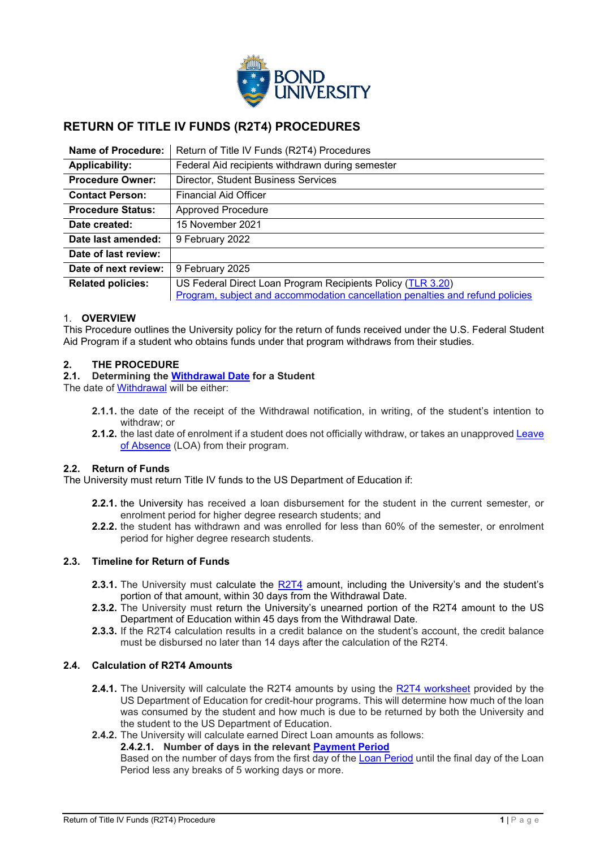<span id="page-4-0"></span>

# **RETURN OF TITLE IV FUNDS (R2T4) PROCEDURES**

| Name of Procedure:       | Return of Title IV Funds (R2T4) Procedures                                    |
|--------------------------|-------------------------------------------------------------------------------|
| <b>Applicability:</b>    | Federal Aid recipients withdrawn during semester                              |
| <b>Procedure Owner:</b>  | <b>Director, Student Business Services</b>                                    |
| <b>Contact Person:</b>   | <b>Financial Aid Officer</b>                                                  |
| <b>Procedure Status:</b> | <b>Approved Procedure</b>                                                     |
| Date created:            | 15 November 2021                                                              |
| Date last amended:       | 9 February 2022                                                               |
| Date of last review:     |                                                                               |
| Date of next review:     | 9 February 2025                                                               |
| <b>Related policies:</b> | US Federal Direct Loan Program Recipients Policy (TLR 3.20)                   |
|                          | Program, subject and accommodation cancellation penalties and refund policies |

## 1. **OVERVIEW**

This Procedure outlines the University policy for the return of funds received under the U.S. Federal Student Aid Program if a student who obtains funds under that program withdraws from their studies.

# **2. THE PROCEDURE**

#### **2.1. Determining the [Withdrawal Date](#page-6-0) for a Student**

The date of [Withdrawal](#page-6-1) will be either:

- **2.1.1.** the date of the receipt of the Withdrawal notification, in writing, of the student's intention to withdraw; or
- **2.1.2.** the last date of enrolment if a student does not officially withdraw, or takes an unapproved [Leave](#page-6-2)  [of Absence](#page-6-2) (LOA) from their program.

## **2.2. Return of Funds**

The University must return Title IV funds to the US Department of Education if:

- **2.2.1.** the University has received a loan disbursement for the student in the current semester, or enrolment period for higher degree research students; and
- **2.2.2.** the student has withdrawn and was enrolled for less than 60% of the semester, or enrolment period for higher degree research students.

# **2.3. Timeline for Return of Funds**

- **2.3.1.** The University must calculate the [R2T4](#page-6-3) amount, including the University's and the student's portion of that amount, within 30 days from the Withdrawal Date.
- **2.3.2.** The University must return the University's unearned portion of the R2T4 amount to the US Department of Education within 45 days from the Withdrawal Date.
- **2.3.3.** If the R2T4 calculation results in a credit balance on the student's account, the credit balance must be disbursed no later than 14 days after the calculation of the R2T4.

## **2.4. Calculation of R2T4 Amounts**

- **2.4.1.** The University will calculate the R2T4 amounts by using the [R2T4 worksheet](https://fsapartners.ed.gov/sites/default/files/2021-02/Treatment%20Of%20Title%20IV%20Funds%20When%20A%20Student%20Withdraws%20From%20A%20Credit-Hour%20Program_0.pdf) provided by the US Department of Education for credit-hour programs. This will determine how much of the loan was consumed by the student and how much is due to be returned by both the University and the student to the US Department of Education.
- **2.4.2.** The University will calculate earned Direct Loan amounts as follows:

## **2.4.2.1. Number of days in the relevant [Payment Period](#page-6-4)**

Based on the number of days from the first day of the [Loan Period](#page-6-5) until the final day of the Loan Period less any breaks of 5 working days or more.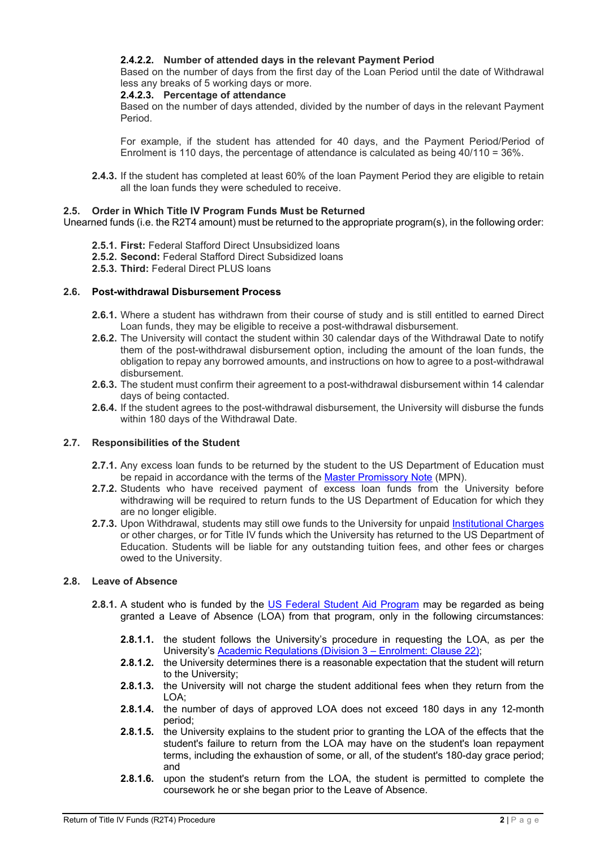# **2.4.2.2. Number of attended days in the relevant Payment Period**

Based on the number of days from the first day of the Loan Period until the date of Withdrawal less any breaks of 5 working days or more.

#### **2.4.2.3. Percentage of attendance**

Based on the number of days attended, divided by the number of days in the relevant Payment Period.

For example, if the student has attended for 40 days, and the Payment Period/Period of Enrolment is 110 days, the percentage of attendance is calculated as being 40/110 = 36%.

**2.4.3.** If the student has completed at least 60% of the loan Payment Period they are eligible to retain all the loan funds they were scheduled to receive.

#### **2.5. Order in Which Title IV Program Funds Must be Returned**

Unearned funds (i.e. the R2T4 amount) must be returned to the appropriate program(s), in the following order:

- **2.5.1. First:** Federal Stafford Direct Unsubsidized loans
- **2.5.2. Second:** Federal Stafford Direct Subsidized loans
- **2.5.3. Third:** Federal Direct PLUS loans

#### **2.6. Post-withdrawal Disbursement Process**

- **2.6.1.** Where a student has withdrawn from their course of study and is still entitled to earned Direct Loan funds, they may be eligible to receive a post-withdrawal disbursement.
- **2.6.2.** The University will contact the student within 30 calendar days of the Withdrawal Date to notify them of the post-withdrawal disbursement option, including the amount of the loan funds, the obligation to repay any borrowed amounts, and instructions on how to agree to a post-withdrawal disbursement.
- **2.6.3.** The student must confirm their agreement to a post-withdrawal disbursement within 14 calendar days of being contacted.
- **2.6.4.** If the student agrees to the post-withdrawal disbursement, the University will disburse the funds within 180 days of the Withdrawal Date.

## **2.7. Responsibilities of the Student**

- **2.7.1.** Any excess loan funds to be returned by the student to the US Department of Education must be repaid in accordance with the terms of the [Master Promissory Note](#page-6-6) (MPN).
- **2.7.2.** Students who have received payment of excess loan funds from the University before withdrawing will be required to return funds to the US Department of Education for which they are no longer eligible.
- **2.7.3.** Upon Withdrawal, students may still owe funds to the University for unpaid [Institutional Charges](#page-6-7) or other charges, or for Title IV funds which the University has returned to the US Department of Education. Students will be liable for any outstanding tuition fees, and other fees or charges owed to the University.

## **2.8. Leave of Absence**

- **2.8.1.** A student who is funded by the [US Federal Student Aid Program](#page-6-8) may be regarded as being granted a Leave of Absence (LOA) from that program, only in the following circumstances:
	- **2.8.1.1.** the student follows the University's procedure in requesting the LOA, as per the University's [Academic Regulations](https://bond.edu.au/files/675/Part2AcadRegs.pdf) (Division 3 – Enrolment: Clause 22);
	- **2.8.1.2.** the University determines there is a reasonable expectation that the student will return to the University;
	- **2.8.1.3.** the University will not charge the student additional fees when they return from the LOA;
	- **2.8.1.4.** the number of days of approved LOA does not exceed 180 days in any 12-month period;
	- **2.8.1.5.** the University explains to the student prior to granting the LOA of the effects that the student's failure to return from the LOA may have on the student's loan repayment terms, including the exhaustion of some, or all, of the student's 180-day grace period; and
	- **2.8.1.6.** upon the student's return from the LOA, the student is permitted to complete the coursework he or she began prior to the Leave of Absence.